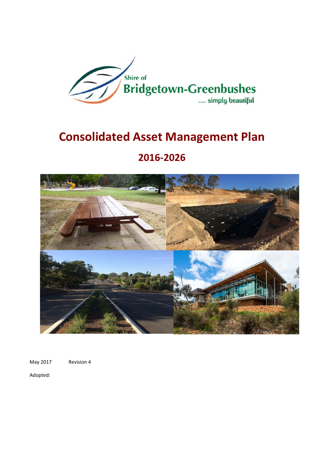

# **Consolidated Asset Management Plan**

## **20162026**



May 2017 Revision 4

Adopted: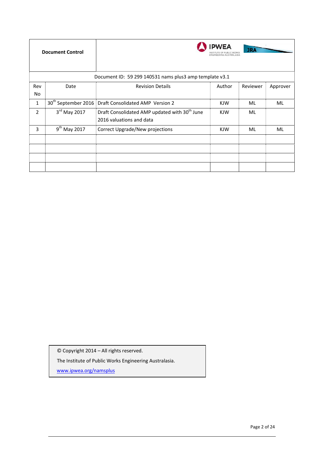|                | <b>Document Control</b>         |                                                                                       | <b>PWEA</b><br>ENGINEERING AUSTRALASIA | <b>JRA</b> |          |
|----------------|---------------------------------|---------------------------------------------------------------------------------------|----------------------------------------|------------|----------|
|                |                                 | Document ID: 59 299 140531 nams plus3 amp template v3.1                               |                                        |            |          |
| Rev            | Date                            | <b>Revision Details</b>                                                               | Author                                 | Reviewer   | Approver |
| No.            |                                 |                                                                                       |                                        |            |          |
| $\mathbf{1}$   | 30 <sup>th</sup> September 2016 | Draft Consolidated AMP Version 2                                                      | <b>KJW</b>                             | <b>ML</b>  | ML       |
| $\overline{2}$ | $3rd$ May 2017                  | Draft Consolidated AMP updated with 30 <sup>th</sup> June<br>2016 valuations and data | <b>KJW</b>                             | ML         |          |
| 3              | $9^{th}$ May 2017               | Correct Upgrade/New projections                                                       | <b>KJW</b>                             | ML         | ML       |
|                |                                 |                                                                                       |                                        |            |          |
|                |                                 |                                                                                       |                                        |            |          |
|                |                                 |                                                                                       |                                        |            |          |

© Copyright 2014 – All rights reserved.

The Institute of Public Works Engineering Australasia.

www.ipwea.org/namsplus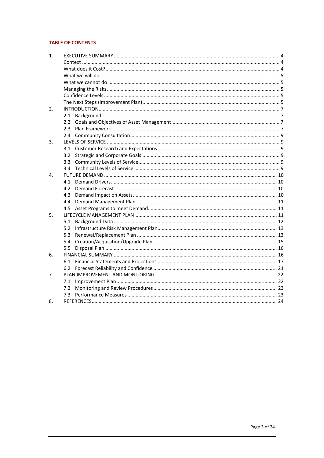## **TABLE OF CONTENTS**

| $\mathbf{1}$ . |                  |  |
|----------------|------------------|--|
|                |                  |  |
|                |                  |  |
|                |                  |  |
|                |                  |  |
|                |                  |  |
|                |                  |  |
|                |                  |  |
| 2.             |                  |  |
|                |                  |  |
|                | $2.2^{\circ}$    |  |
|                | $2.3 -$          |  |
|                |                  |  |
| 3.             |                  |  |
|                |                  |  |
|                | 3.2              |  |
|                | 3.3 <sub>1</sub> |  |
|                |                  |  |
| 4.             |                  |  |
|                | 4.1              |  |
|                | 4.2              |  |
|                | 4.3              |  |
|                | 4.4              |  |
|                | 4.5              |  |
| 5.             |                  |  |
|                | 5.1              |  |
|                | 5.2              |  |
|                | 5.3              |  |
|                | 5.4              |  |
|                | 5.5              |  |
| 6.             |                  |  |
|                |                  |  |
|                | 6.2              |  |
| 7.             |                  |  |
|                | 7.1              |  |
|                | 7.2              |  |
|                |                  |  |
| 8.             |                  |  |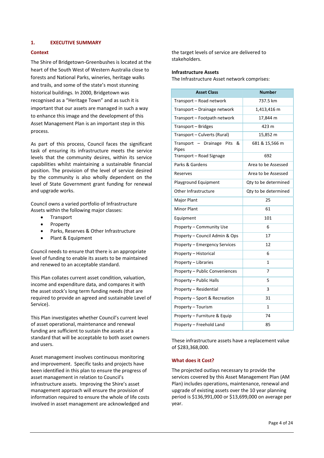## **1. EXECUTIVE SUMMARY**

## **Context**

The Shire of Bridgetown-Greenbushes is located at the heart of the South West of Western Australia close to forests and National Parks, wineries, heritage walks and trails, and some of the state's most stunning historical buildings. In 2000, Bridgetown was recognised as a "Heritage Town" and as such it is important that our assets are managed in such a way to enhance this image and the development of this Asset Management Plan is an important step in this process.

As part of this process, Council faces the significant task of ensuring its infrastructure meets the service levels that the community desires, within its service capabilities whilst maintaining a sustainable financial position. The provision of the level of service desired by the community is also wholly dependent on the level of State Government grant funding for renewal and upgrade works.

Council owns a varied portfolio of Infrastructure Assets within the following major classes:

- Transport
- Property
- Parks, Reserves & Other Infrastructure
- Plant & Equipment

Council needs to ensure that there is an appropriate level of funding to enable its assets to be maintained and renewed to an acceptable standard.

This Plan collates current asset condition, valuation, income and expenditure data, and compares it with the asset stock's long term funding needs (that are required to provide an agreed and sustainable Level of Service).

This Plan investigates whether Council's current level of asset operational, maintenance and renewal funding are sufficient to sustain the assets at a standard that will be acceptable to both asset owners and users.

Asset management involves continuous monitoring and improvement. Specific tasks and projects have been identified in this plan to ensure the progress of asset management in relation to Council's infrastructure assets. Improving the Shire's asset management approach will ensure the provision of information required to ensure the whole of life costs involved in asset management are acknowledged and the target levels of service are delivered to stakeholders.

#### **Infrastructure Assets**

The Infrastructure Asset network comprises:

| <b>Asset Class</b>                         | <b>Number</b>        |
|--------------------------------------------|----------------------|
| Transport - Road network                   | 737.5 km             |
| Transport - Drainage network               | 1,413,416 m          |
| Transport - Footpath network               | 17,844 m             |
| Transport - Bridges                        | 423 m                |
| Transport - Culverts (Rural)               | 15,852 m             |
| Transport - Drainage<br>&<br>Pits<br>Pipes | 681 & 15,566 m       |
| Transport - Road Signage                   | 692                  |
| Parks & Gardens                            | Area to be Assessed  |
| Reserves                                   | Area to be Assessed  |
| Playground Equipment                       | Qty to be determined |
| Other Infrastructure                       | Qty to be determined |
| Major Plant                                | 25                   |
| <b>Minor Plant</b>                         | 61                   |
| Equipment                                  | 101                  |
| Property - Community Use                   | 6                    |
| Property - Council Admin & Ops             | 17                   |
| Property - Emergency Services              | 12                   |
| Property - Historical                      | 6                    |
| Property - Libraries                       | 1                    |
| Property - Public Conveniences             | 7                    |
| Property - Public Halls                    | 5                    |
| Property - Residential                     | 3                    |
| Property - Sport & Recreation              | 31                   |
| Property - Tourism                         | 1                    |
| Property - Furniture & Equip               | 74                   |
| Property - Freehold Land                   | 85                   |

These infrastructure assets have a replacement value of \$283,368,000.

## **What does it Cost?**

The projected outlays necessary to provide the services covered by this Asset Management Plan (AM Plan) includes operations, maintenance, renewal and upgrade of existing assets over the 10 year planning period is \$136,991,000 or \$13,699,000 on average per year.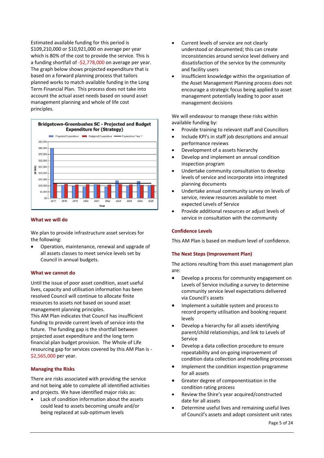Estimated available funding for this period is \$109,210,000 or \$10,921,000 on average per year which is 80% of the cost to provide the service. This is a funding shortfall of  $-52,778,000$  on average per year. The graph below shows projected expenditure that is based on a forward planning process that tailors planned works to match available funding in the Long Term Financial Plan. This process does not take into account the actual asset needs based on sound asset management planning and whole of life cost principles.



#### **What we will do**

We plan to provide infrastructure asset services for the following:

Operation, maintenance, renewal and upgrade of all assets classes to meet service levels set by Council in annual budgets.

## **What we cannot do**

Until the issue of poor asset condition, asset useful lives, capacity and utilisation information has been resolved Council will continue to allocate finite resources to assets not based on sound asset management planning principles.

This AM Plan indicates that Council has insufficient funding to provide current levels of service into the future. The funding gap is the shortfall between projected asset expenditure and the long term financial plan budget provision. The Whole of Life resourcing gap for services covered by this AM Plan is \$2,565,000 per year.

## **Managing the Risks**

There are risks associated with providing the service and not being able to complete all identified activities and projects. We have identified major risks as:

Lack of condition information about the assets could lead to assets becoming unsafe and/or being replaced at sub-optimum levels

- Current levels of service are not clearly understood or documented; this can create inconsistencies around service level delivery and dissatisfaction of the service by the community and facility users
- Insufficient knowledge within the organisation of the Asset Management Planning process does not encourage a strategic focus being applied to asset management potentially leading to poor asset management decisions

We will endeavour to manage these risks within available funding by:

- Provide training to relevant staff and Councillors
- Include KPI's in staff job descriptions and annual performance reviews
- Development of a assets hierarchy
- Develop and implement an annual condition inspection program
- Undertake community consultation to develop levels of service and incorporate into integrated planning documents
- Undertake annual community survey on levels of service, review resources available to meet expected Levels of Service
- Provide additional resources or adjust levels of service in consultation with the community

## **Confidence Levels**

This AM Plan is based on medium level of confidence.

## **The Next Steps (Improvement Plan)**

The actions resulting from this asset management plan are:

- Develop a process for community engagement on Levels of Service including a survey to determine community service level expectations delivered via Council's assets
- Implement a suitable system and process to record property utilisation and booking request levels
- Develop a hierarchy for all assets identifying parent/child relationships, and link to Levels of Service
- Develop a data collection procedure to ensure repeatability and on-going improvement of condition data collection and modelling processes
- Implement the condition inspection programme for all assets
- Greater degree of componentisation in the condition rating process
- Review the Shire's year acquired/constructed date for all assets
- x Determine useful lives and remaining useful lives of Council's assets and adopt consistent unit rates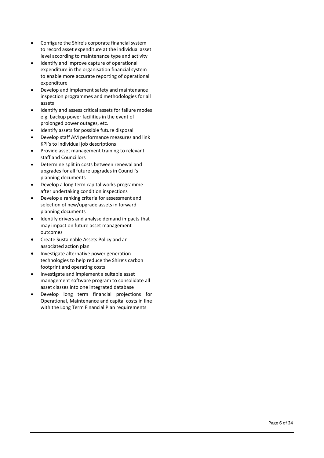- Configure the Shire's corporate financial system to record asset expenditure at the individual asset level according to maintenance type and activity
- Identify and improve capture of operational expenditure in the organisation financial system to enable more accurate reporting of operational expenditure
- Develop and implement safety and maintenance inspection programmes and methodologies for all assets
- Identify and assess critical assets for failure modes e.g. backup power facilities in the event of prolonged power outages, etc.
- Identify assets for possible future disposal
- Develop staff AM performance measures and link KPI's to individual job descriptions
- Provide asset management training to relevant staff and Councillors
- Determine split in costs between renewal and upgrades for all future upgrades in Council's planning documents
- Develop a long term capital works programme after undertaking condition inspections
- Develop a ranking criteria for assessment and selection of new/upgrade assets in forward planning documents
- Identify drivers and analyse demand impacts that may impact on future asset management outcomes
- Create Sustainable Assets Policy and an associated action plan
- Investigate alternative power generation technologies to help reduce the Shire's carbon footprint and operating costs
- x Investigate and implement a suitable asset management software program to consolidate all asset classes into one integrated database
- Develop long term financial projections for Operational, Maintenance and capital costs in line with the Long Term Financial Plan requirements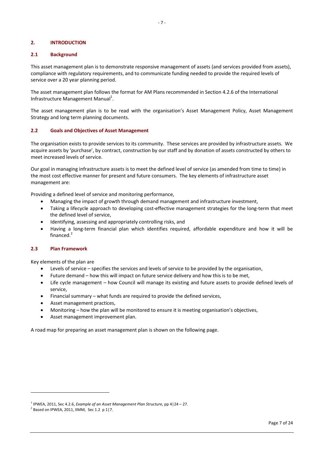### **2. INTRODUCTION**

#### **2.1 Background**

This asset management plan is to demonstrate responsive management of assets (and services provided from assets), compliance with regulatory requirements, and to communicate funding needed to provide the required levels of service over a 20 year planning period.

The asset management plan follows the format for AM Plans recommended in Section 4.2.6 of the International Infrastructure Management Manual<sup>1</sup>.

The asset management plan is to be read with the organisation's Asset Management Policy, Asset Management Strategy and long term planning documents.

#### **2.2 Goals and Objectives of Asset Management**

The organisation exists to provide services to its community. These services are provided by infrastructure assets. We acquire assets by 'purchase', by contract, construction by our staff and by donation of assets constructed by others to meet increased levels of service.

Our goal in managing infrastructure assets is to meet the defined level of service (as amended from time to time) in the most cost effective manner for present and future consumers. The key elements of infrastructure asset management are:

Providing a defined level of service and monitoring performance,

- x Managing the impact of growth through demand management and infrastructure investment,
- Taking a lifecycle approach to developing cost-effective management strategies for the long-term that meet the defined level of service,
- Identifying, assessing and appropriately controlling risks, and
- Having a long-term financial plan which identifies required, affordable expenditure and how it will be financed.<sup>2</sup>

#### **2.3 Plan Framework**

Key elements of the plan are

- Levels of service  $-$  specifies the services and levels of service to be provided by the organisation,
- Future demand how this will impact on future service delivery and how this is to be met,
- Life cycle management how Council will manage its existing and future assets to provide defined levels of service,
- $\bullet$  Financial summary what funds are required to provide the defined services,
- Asset management practices,
- x Monitoring how the plan will be monitored to ensure it is meeting organisation's objectives,
- Asset management improvement plan.

A road map for preparing an asset management plan is shown on the following page.

<sup>&</sup>lt;sup>1</sup> IPWEA, 2011, Sec 4.2.6, *Example of an Asset Management Plan Structure*, pp 4|24 – 27.<br><sup>2</sup> Pessed an IPWEA, 2011, IPAM, Sec 1.2, p.1|7.

 $3$  Based on IPWEA, 2011, IIMM, Sec 1.2 p 1|7.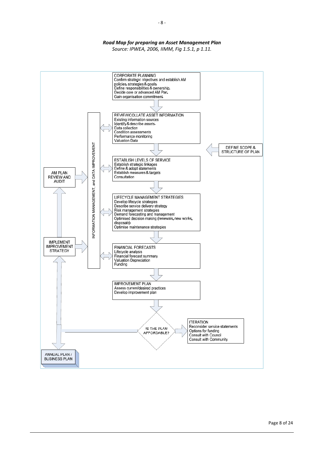## *Road Map for preparing an Asset Management Plan*

*Source: IPWEA, 2006, IIMM, Fig 1.5.1, p 1.11.* 

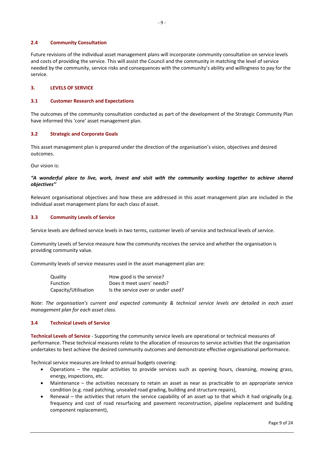### **2.4 Community Consultation**

Future revisions of the individual asset management plans will incorporate community consultation on service levels and costs of providing the service. This will assist the Council and the community in matching the level of service needed by the community, service risks and consequences with the community's ability and willingness to pay for the service.

### **3. LEVELS OF SERVICE**

#### **3.1 Customer Research and Expectations**

The outcomes of the community consultation conducted as part of the development of the Strategic Community Plan have informed this 'core' asset management plan.

#### **3.2 Strategic and Corporate Goals**

This asset management plan is prepared under the direction of the organisation's vision, objectives and desired outcomes.

Our vision is:

## *"A wonderful place to live, work, invest and visit with the community working together to achieve shared objectives''*

Relevant organisational objectives and how these are addressed in this asset management plan are included in the individual asset management plans for each class of asset.

#### **3.3 Community Levels of Service**

Service levels are defined service levels in two terms, customer levels of service and technical levels of service.

Community Levels of Service measure how the community receives the service and whether the organisation is providing community value.

Community levels of service measures used in the asset management plan are:

| Quality              | How good is the service?           |
|----------------------|------------------------------------|
| <b>Function</b>      | Does it meet users' needs?         |
| Capacity/Utilisation | Is the service over or under used? |

*Note: The organisation's current and expected community & technical service levels are detailed in each asset management plan for each asset class.* 

## **3.4 Technical Levels of Service**

**Technical Levels of Service** Supporting the community service levels are operational or technical measures of performance. These technical measures relate to the allocation of resources to service activities that the organisation undertakes to best achieve the desired community outcomes and demonstrate effective organisational performance.

Technical service measures are linked to annual budgets covering:

- Operations the regular activities to provide services such as opening hours, cleansing, mowing grass, energy, inspections, etc.
- x Maintenance the activities necessary to retain an asset as near as practicable to an appropriate service condition (e.g. road patching, unsealed road grading, building and structure repairs),
- Renewal the activities that return the service capability of an asset up to that which it had originally (e.g. frequency and cost of road resurfacing and pavement reconstruction, pipeline replacement and building component replacement),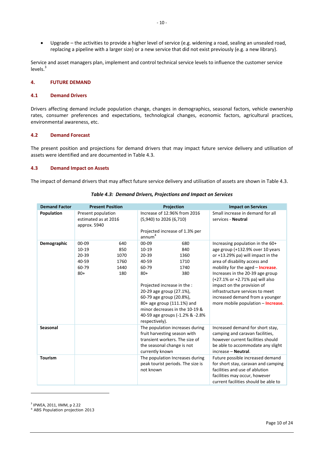• Upgrade – the activities to provide a higher level of service (e.g. widening a road, sealing an unsealed road, replacing a pipeline with a larger size) or a new service that did not exist previously (e.g. a new library).

Service and asset managers plan, implement and control technical service levels to influence the customer service  $levels.<sup>3</sup>$ 

## **4. FUTURE DEMAND**

#### **4.1 Demand Drivers**

Drivers affecting demand include population change, changes in demographics, seasonal factors, vehicle ownership rates, consumer preferences and expectations, technological changes, economic factors, agricultural practices, environmental awareness, etc.

## **4.2 Demand Forecast**

The present position and projections for demand drivers that may impact future service delivery and utilisation of assets were identified and are documented in Table 4.3.

#### **4.3 Demand Impact on Assets**

The impact of demand drivers that may affect future service delivery and utilisation of assets are shown in Table 4.3.

| <b>Demand Factor</b> | <b>Present Position</b>                                                                                     | Projection                                                                                                                                                                                                                                                                                                             | <b>Impact on Services</b>                                                                                                                                                                                                                                                                                                                                                                                        |
|----------------------|-------------------------------------------------------------------------------------------------------------|------------------------------------------------------------------------------------------------------------------------------------------------------------------------------------------------------------------------------------------------------------------------------------------------------------------------|------------------------------------------------------------------------------------------------------------------------------------------------------------------------------------------------------------------------------------------------------------------------------------------------------------------------------------------------------------------------------------------------------------------|
| Population           | Present population<br>estimated as at 2016<br>approx. 5940                                                  | Increase of 12.96% from 2016<br>(5,940) to 2026 (6,710)<br>Projected increase of 1.3% per<br>annum <sup>4</sup>                                                                                                                                                                                                        | Small increase in demand for all<br>services - Neutral                                                                                                                                                                                                                                                                                                                                                           |
| Demographic          | $00 - 09$<br>640<br>$10 - 19$<br>850<br>$20 - 39$<br>1070<br>40-59<br>1760<br>60-79<br>1440<br>$80+$<br>180 | $00 - 09$<br>680<br>$10-19$<br>840<br>$20 - 39$<br>1360<br>40-59<br>1710<br>60-79<br>1740<br>380<br>$80+$<br>Projected increase in the :<br>20-29 age group (27.1%),<br>60-79 age group (20.8%),<br>80+ age group (111.1%) and<br>minor decreases in the 10-19 &<br>40-59 age groups (-1.2% & -2.8%)<br>respectively). | Increasing population in the 60+<br>age group (+132.9% over 10 years<br>or +13.29% pa) will impact in the<br>area of disability access and<br>mobility for the aged - <b>Increase</b> .<br>Increases in the 20-39 age group<br>(+27.1% or +2.71% pa) will also<br>impact on the provision of<br>infrastructure services to meet<br>increased demand from a younger<br>more mobile population - <b>Increase</b> . |
| Seasonal             |                                                                                                             | The population increases during<br>fruit harvesting season with<br>transient workers. The size of<br>the seasonal change is not<br>currently known                                                                                                                                                                     | Increased demand for short stay,<br>camping and caravan facilities,<br>however current facilities should<br>be able to accommodate any slight<br>increase - Neutral.                                                                                                                                                                                                                                             |
| <b>Tourism</b>       |                                                                                                             | The population Increases during<br>peak tourist periods. The size is<br>not known                                                                                                                                                                                                                                      | Future possible increased demand<br>for short stay, caravan and camping<br>facilities and use of ablution<br>facilities may occur, however<br>current facilities should be able to                                                                                                                                                                                                                               |

#### *Table 4.3: Demand Drivers, Projections and Impact on Services*

3 IPWEA, 2011, IIMM, p 2.22

4 ABS Population projection 2013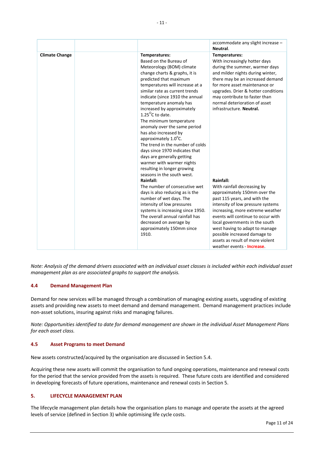|                       |                                                                                                                                                                                                                                                                                                                                                                                                                                                                                                                                                                                                                                                                                                                                                                                                                                                                                                                                     | accommodate any slight increase -<br>Neutral.                                                                                                                                                                                                                                                                                                                                                                                                                                                                                                                                                                                                                 |
|-----------------------|-------------------------------------------------------------------------------------------------------------------------------------------------------------------------------------------------------------------------------------------------------------------------------------------------------------------------------------------------------------------------------------------------------------------------------------------------------------------------------------------------------------------------------------------------------------------------------------------------------------------------------------------------------------------------------------------------------------------------------------------------------------------------------------------------------------------------------------------------------------------------------------------------------------------------------------|---------------------------------------------------------------------------------------------------------------------------------------------------------------------------------------------------------------------------------------------------------------------------------------------------------------------------------------------------------------------------------------------------------------------------------------------------------------------------------------------------------------------------------------------------------------------------------------------------------------------------------------------------------------|
| <b>Climate Change</b> | Temperatures:<br>Based on the Bureau of<br>Meteorology (BOM) climate<br>change charts & graphs, it is<br>predicted that maximum<br>temperatures will increase at a<br>similar rate as current trends<br>indicate (since 1910 the annual<br>temperature anomaly has<br>increased by approximately<br>1.25 $\mathrm{^{\circ}C}$ to date.<br>The minimum temperature<br>anomaly over the same period<br>has also increased by<br>approximately 1.0°C.<br>The trend in the number of colds<br>days since 1970 indicates that<br>days are generally getting<br>warmer with warmer nights<br>resulting in longer growing<br>seasons in the south west.<br>Rainfall:<br>The number of consecutive wet<br>days is also reducing as is the<br>number of wet days. The<br>intensity of low pressures<br>systems is increasing since 1950.<br>The overall annual rainfall has<br>decreased on average by<br>approximately 150mm since<br>1910. | Temperatures:<br>With increasingly hotter days<br>during the summer, warmer days<br>and milder nights during winter,<br>there may be an increased demand<br>for more asset maintenance or<br>upgrades. Drier & hotter conditions<br>may contribute to faster than<br>normal deterioration of asset<br>infrastructure. Neutral.<br>Rainfall:<br>With rainfall decreasing by<br>approximately 150mm over the<br>past 115 years, and with the<br>intensity of low pressure systems<br>increasing, more extreme weather<br>events will continue to occur with<br>local governments in the south<br>west having to adapt to manage<br>possible increased damage to |
|                       |                                                                                                                                                                                                                                                                                                                                                                                                                                                                                                                                                                                                                                                                                                                                                                                                                                                                                                                                     | assets as result of more violent<br>weather events - <b>Increase</b> .                                                                                                                                                                                                                                                                                                                                                                                                                                                                                                                                                                                        |

*Note: Analysis of the demand drivers associated with an individual asset classes is included within each individual asset management plan as are associated graphs to support the analysis.* 

## **4.4 Demand Management Plan**

Demand for new services will be managed through a combination of managing existing assets, upgrading of existing assets and providing new assets to meet demand and demand management. Demand management practices include non-asset solutions, insuring against risks and managing failures.

*Note: Opportunities identified to date for demand management are shown in the individual Asset Management Plans for each asset class.* 

## **4.5 Asset Programs to meet Demand**

New assets constructed/acquired by the organisation are discussed in Section 5.4.

Acquiring these new assets will commit the organisation to fund ongoing operations, maintenance and renewal costs for the period that the service provided from the assets is required. These future costs are identified and considered in developing forecasts of future operations, maintenance and renewal costs in Section 5.

## **5. LIFECYCLE MANAGEMENT PLAN**

The lifecycle management plan details how the organisation plans to manage and operate the assets at the agreed levels of service (defined in Section 3) while optimising life cycle costs.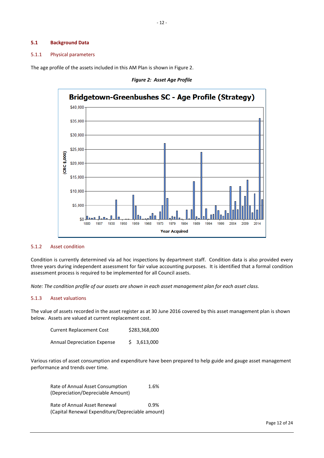#### **5.1 Background Data**

#### 5.1.1 Physical parameters

The age profile of the assets included in this AM Plan is shown in Figure 2.





## 5.1.2 Asset condition

Condition is currently determined via ad hoc inspections by department staff. Condition data is also provided every three years during independent assessment for fair value accounting purposes. It is identified that a formal condition assessment process is required to be implemented for all Council assets.

*Note: The condition profile of our assets are shown in each asset management plan for each asset class.* 

#### 5.1.3 Asset valuations

The value of assets recorded in the asset register as at 30 June 2016 covered by this asset management plan is shown below. Assets are valued at current replacement cost.

| Current Replacement Cost    | \$283,368,000 |
|-----------------------------|---------------|
| Annual Depreciation Expense | \$3,613,000   |

Various ratios of asset consumption and expenditure have been prepared to help guide and gauge asset management performance and trends over time.

| Rate of Annual Asset Consumption                 | 1.6% |
|--------------------------------------------------|------|
| (Depreciation/Depreciable Amount)                |      |
| Rate of Annual Asset Renewal                     | 0.9% |
| (Capital Renewal Expenditure/Depreciable amount) |      |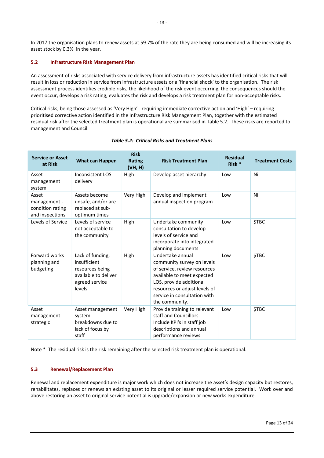In 2017 the organisation plans to renew assets at 59.7% of the rate they are being consumed and will be increasing its asset stock by 0.3% in the year.

#### **5.2 Infrastructure Risk Management Plan**

An assessment of risks associated with service delivery from infrastructure assets has identified critical risks that will result in loss or reduction in service from infrastructure assets or a 'financial shock' to the organisation. The risk assessment process identifies credible risks, the likelihood of the risk event occurring, the consequences should the event occur, develops a risk rating, evaluates the risk and develops a risk treatment plan for non-acceptable risks.

Critical risks, being those assessed as 'Very High' - requiring immediate corrective action and 'High' – requiring prioritised corrective action identified in the Infrastructure Risk Management Plan, together with the estimated residual risk after the selected treatment plan is operational are summarised in Table 5.2. These risks are reported to management and Council.

| <b>Service or Asset</b><br>at Risk                           | <b>What can Happen</b>                                                                                  | <b>Risk</b><br>Rating<br>(VH, H) | <b>Risk Treatment Plan</b>                                                                                                                                                                                                 | <b>Residual</b><br>Risk <sup>*</sup> | <b>Treatment Costs</b> |
|--------------------------------------------------------------|---------------------------------------------------------------------------------------------------------|----------------------------------|----------------------------------------------------------------------------------------------------------------------------------------------------------------------------------------------------------------------------|--------------------------------------|------------------------|
| Asset<br>management<br>system                                | <b>Inconsistent LOS</b><br>delivery                                                                     | High                             | Develop asset hierarchy                                                                                                                                                                                                    | Low                                  | Nil                    |
| Asset<br>management -<br>condition rating<br>and inspections | Assets become<br>unsafe, and/or are<br>replaced at sub-<br>optimum times                                | Very High                        | Develop and implement<br>annual inspection program                                                                                                                                                                         | Low                                  | Nil                    |
| Levels of Service                                            | Levels of service<br>not acceptable to<br>the community                                                 | High                             | Undertake community<br>consultation to develop<br>levels of service and<br>incorporate into integrated<br>planning documents                                                                                               | Low                                  | <b>\$TBC</b>           |
| Forward works<br>planning and<br>budgeting                   | Lack of funding,<br>insufficient<br>resources being<br>available to deliver<br>agreed service<br>levels | High                             | Undertake annual<br>community survey on levels<br>of service, review resources<br>available to meet expected<br>LOS, provide additional<br>resources or adjust levels of<br>service in consultation with<br>the community. | Low                                  | <b>\$TBC</b>           |
| Asset<br>management -<br>strategic                           | Asset management<br>system<br>breakdowns due to<br>lack of focus by<br>staff                            | Very High                        | Provide training to relevant<br>staff and Councillors.<br>Include KPI's in staff job<br>descriptions and annual<br>performance reviews                                                                                     | Low                                  | <b>\$TBC</b>           |

## *Table 5.2: Critical Risks and Treatment Plans*

Note \* The residual risk is the risk remaining after the selected risk treatment plan is operational.

#### **5.3 Renewal/Replacement Plan**

Renewal and replacement expenditure is major work which does not increase the asset's design capacity but restores, rehabilitates, replaces or renews an existing asset to its original or lesser required service potential. Work over and above restoring an asset to original service potential is upgrade/expansion or new works expenditure.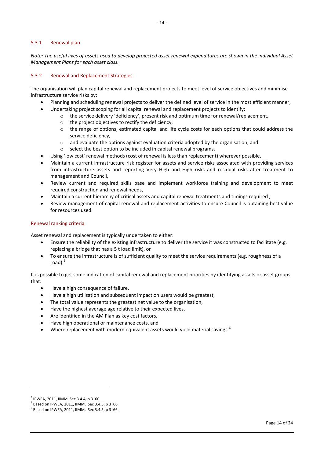#### 5.3.1 Renewal plan

*Note: The useful lives of assets used to develop projected asset renewal expenditures are shown in the individual Asset Management Plans for each asset class.* 

#### 5.3.2 Renewal and Replacement Strategies

The organisation will plan capital renewal and replacement projects to meet level of service objectives and minimise infrastructure service risks by:

- Planning and scheduling renewal projects to deliver the defined level of service in the most efficient manner,
- Undertaking project scoping for all capital renewal and replacement projects to identify:
	- o the service delivery 'deficiency', present risk and optimum time for renewal/replacement,
	- o the project objectives to rectify the deficiency,
	- o the range of options, estimated capital and life cycle costs for each options that could address the service deficiency,
	- $\circ$  and evaluate the options against evaluation criteria adopted by the organisation, and
	- select the best option to be included in capital renewal programs,
- Using 'low cost' renewal methods (cost of renewal is less than replacement) wherever possible,
- x Maintain a current infrastructure risk register for assets and service risks associated with providing services from infrastructure assets and reporting Very High and High risks and residual risks after treatment to management and Council,
- x Review current and required skills base and implement workforce training and development to meet required construction and renewal needs,
- x Maintain a current hierarchy of critical assets and capital renewal treatments and timings required ,
- Review management of capital renewal and replacement activities to ensure Council is obtaining best value for resources used.

#### Renewal ranking criteria

Asset renewal and replacement is typically undertaken to either:

- Ensure the reliability of the existing infrastructure to deliver the service it was constructed to facilitate (e.g. replacing a bridge that has a 5 t load limit), or
- To ensure the infrastructure is of sufficient quality to meet the service requirements (e.g. roughness of a road). $5$

It is possible to get some indication of capital renewal and replacement priorities by identifying assets or asset groups that:

- Have a high consequence of failure,
- Have a high utilisation and subsequent impact on users would be greatest,
- The total value represents the greatest net value to the organisation,
- Have the highest average age relative to their expected lives,
- Are identified in the AM Plan as key cost factors,
- Have high operational or maintenance costs, and
- Where replacement with modern equivalent assets would yield material savings.<sup>6</sup>

<sup>5</sup> IPWEA, 2011, IIMM, Sec 3.4.4, p 3|60.

 $5$  Based on IPWEA, 2011, IIMM, Sec 3.4.5, p 3 66.

 $6$  Based on IPWEA, 2011, IIMM, Sec 3.4.5, p 3 66.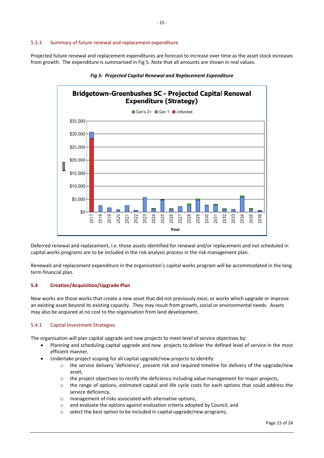## 5.3.3 Summary of future renewal and replacement expenditure

Projected future renewal and replacement expenditures are forecast to increase over time as the asset stock increases from growth. The expenditure is summarised in Fig 5. Note that all amounts are shown in real values.



## *Fig 5: Projected Capital Renewal and Replacement Expenditure*

Deferred renewal and replacement, i.e. those assets identified for renewal and/or replacement and not scheduled in capital works programs are to be included in the risk analysis process in the risk management plan.

Renewals and replacement expenditure in the organisation's capital works program will be accommodated in the long term financial plan.

## **5.4 Creation/Acquisition/Upgrade Plan**

New works are those works that create a new asset that did not previously exist, or works which upgrade or improve an existing asset beyond its existing capacity. They may result from growth, social or environmental needs. Assets may also be acquired at no cost to the organisation from land development.

#### 5.4.1 Capital Investment Strategies

The organisation will plan capital upgrade and new projects to meet level of service objectives by:

- Planning and scheduling capital upgrade and new projects to deliver the defined level of service in the most efficient manner,
- Undertake project scoping for all capital upgrade/new projects to identify:
	- o the service delivery 'deficiency', present risk and required timeline for delivery of the upgrade/new asset,
	- $\circ$  the project objectives to rectify the deficiency including value management for major projects,
	- o the range of options, estimated capital and life cycle costs for each options that could address the service deficiency,
	- o management of risks associated with alternative options,
	- o and evaluate the options against evaluation criteria adopted by Council, and
	- select the best option to be included in capital upgrade/new programs,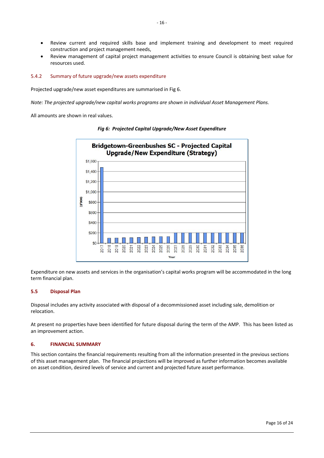- Review current and required skills base and implement training and development to meet required construction and project management needs,
- Review management of capital project management activities to ensure Council is obtaining best value for resources used.

## 5.4.2 Summary of future upgrade/new assets expenditure

Projected upgrade/new asset expenditures are summarised in Fig 6.

*Note: The projected upgrade/new capital works programs are shown in individual Asset Management Plans.* 

All amounts are shown in real values.



#### *Fig 6: Projected Capital Upgrade/New Asset Expenditure*

Expenditure on new assets and services in the organisation's capital works program will be accommodated in the long term financial plan.

## **5.5 Disposal Plan**

Disposal includes any activity associated with disposal of a decommissioned asset including sale, demolition or relocation.

At present no properties have been identified for future disposal during the term of the AMP. This has been listed as an improvement action.

#### **6. FINANCIAL SUMMARY**

This section contains the financial requirements resulting from all the information presented in the previous sections of this asset management plan. The financial projections will be improved as further information becomes available on asset condition, desired levels of service and current and projected future asset performance.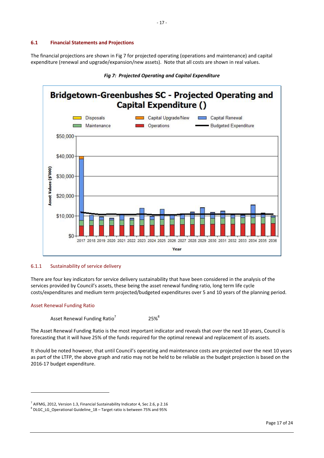#### **6.1 Financial Statements and Projections**

The financial projections are shown in Fig 7 for projected operating (operations and maintenance) and capital expenditure (renewal and upgrade/expansion/new assets). Note that all costs are shown in real values.



### *Fig 7: Projected Operating and Capital Expenditure*

#### 6.1.1 Sustainability of service delivery

There are four key indicators for service delivery sustainability that have been considered in the analysis of the services provided by Council's assets, these being the asset renewal funding ratio, long term life cycle costs/expenditures and medium term projected/budgeted expenditures over 5 and 10 years of the planning period.

#### Asset Renewal Funding Ratio

Asset Renewal Funding Ratio<sup>7</sup> 25%<sup>8</sup>

The Asset Renewal Funding Ratio is the most important indicator and reveals that over the next 10 years, Council is forecasting that it will have 25% of the funds required for the optimal renewal and replacement of its assets.

It should be noted however, that until Council's operating and maintenance costs are projected over the next 10 years as part of the LTFP, the above graph and ratio may not be held to be reliable as the budget projection is based on the 2016-17 budget expenditure.

 $^7$  AIFMG, 2012, Version 1.3, Financial Sustainability Indicator 4, Sec 2.6, p 2.16

<sup>8</sup> DLGC\_LG\_Operational Guideline\_18 – Target ratio is between 75% and 95%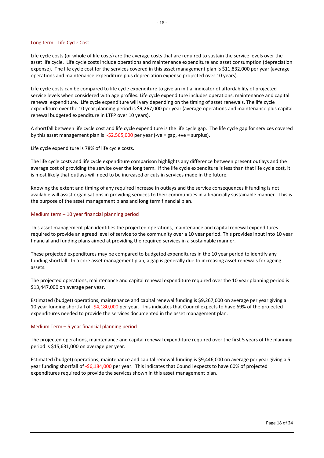#### Long term - Life Cycle Cost

Life cycle costs (or whole of life costs) are the average costs that are required to sustain the service levels over the asset life cycle. Life cycle costs include operations and maintenance expenditure and asset consumption (depreciation expense). The life cycle cost for the services covered in this asset management plan is \$11,832,000 per year (average operations and maintenance expenditure plus depreciation expense projected over 10 years).

 $-18-$ 

Life cycle costs can be compared to life cycle expenditure to give an initial indicator of affordability of projected service levels when considered with age profiles. Life cycle expenditure includes operations, maintenance and capital renewal expenditure. Life cycle expenditure will vary depending on the timing of asset renewals. The life cycle expenditure over the 10 year planning period is \$9,267,000 per year (average operations and maintenance plus capital renewal budgeted expenditure in LTFP over 10 years).

A shortfall between life cycle cost and life cycle expenditure is the life cycle gap. The life cycle gap for services covered by this asset management plan is  $-\frac{52}{565}000$  per year (-ve = gap, +ve = surplus).

Life cycle expenditure is 78% of life cycle costs.

The life cycle costs and life cycle expenditure comparison highlights any difference between present outlays and the average cost of providing the service over the long term. If the life cycle expenditure is less than that life cycle cost, it is most likely that outlays will need to be increased or cuts in services made in the future.

Knowing the extent and timing of any required increase in outlays and the service consequences if funding is not available will assist organisations in providing services to their communities in a financially sustainable manner. This is the purpose of the asset management plans and long term financial plan.

#### Medium term – 10 year financial planning period

This asset management plan identifies the projected operations, maintenance and capital renewal expenditures required to provide an agreed level of service to the community over a 10 year period. This provides input into 10 year financial and funding plans aimed at providing the required services in a sustainable manner.

These projected expenditures may be compared to budgeted expenditures in the 10 year period to identify any funding shortfall. In a core asset management plan, a gap is generally due to increasing asset renewals for ageing assets.

The projected operations, maintenance and capital renewal expenditure required over the 10 year planning period is \$13,447,000 on average per year.

Estimated (budget) operations, maintenance and capital renewal funding is \$9,267,000 on average per year giving a 10 year funding shortfall of -\$4,180,000 per year. This indicates that Council expects to have 69% of the projected expenditures needed to provide the services documented in the asset management plan.

#### Medium Term – 5 year financial planning period

The projected operations, maintenance and capital renewal expenditure required over the first 5 years of the planning period is \$15,631,000 on average per year.

Estimated (budget) operations, maintenance and capital renewal funding is \$9,446,000 on average per year giving a 5 year funding shortfall of -\$6,184,000 per year. This indicates that Council expects to have 60% of projected expenditures required to provide the services shown in this asset management plan.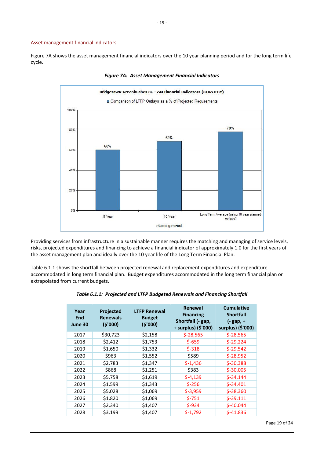#### Asset management financial indicators

Figure 7A shows the asset management financial indicators over the 10 year planning period and for the long term life cycle.



*Figure 7A: Asset Management Financial Indicators* 

Providing services from infrastructure in a sustainable manner requires the matching and managing of service levels, risks, projected expenditures and financing to achieve a financial indicator of approximately 1.0 for the first years of the asset management plan and ideally over the 10 year life of the Long Term Financial Plan.

Table 6.1.1 shows the shortfall between projected renewal and replacement expenditures and expenditure accommodated in long term financial plan. Budget expenditures accommodated in the long term financial plan or extrapolated from current budgets.

| Year<br>End<br>June 30 | <b>Projected</b><br><b>Renewals</b><br>(5'000) | <b>LTFP Renewal</b><br><b>Budget</b><br>(5'000) | Renewal<br><b>Financing</b><br>Shortfall (- gap,<br>+ surplus) (\$'000) | <b>Cumulative</b><br><b>Shortfall</b><br>(- gap, +<br>surplus) (\$'000) |
|------------------------|------------------------------------------------|-------------------------------------------------|-------------------------------------------------------------------------|-------------------------------------------------------------------------|
| 2017                   | \$30,723                                       | \$2,158                                         | $$-28,565$                                                              | $$-28,565$                                                              |
| 2018                   | \$2,412                                        | \$1,753                                         | $$-659$                                                                 | $$-29,224$                                                              |
| 2019                   | \$1,650                                        | \$1,332                                         | $$-318$                                                                 | \$-29,542                                                               |
| 2020                   | \$963                                          | \$1,552                                         | \$589                                                                   | $$-28,952$                                                              |
| 2021                   | \$2,783                                        | \$1,347                                         | $$-1,436$                                                               | \$-30,388                                                               |
| 2022                   | \$868                                          | \$1,251                                         | \$383                                                                   | $$-30,005$                                                              |
| 2023                   | \$5,758                                        | \$1,619                                         | $$-4,139$                                                               | $5 - 34,144$                                                            |
| 2024                   | \$1,599                                        | \$1,343                                         | $S-256$                                                                 | \$-34,401                                                               |
| 2025                   | \$5,028                                        | \$1,069                                         | $$-3,959$                                                               | \$-38,360                                                               |
| 2026                   | \$1,820                                        | \$1,069                                         | $$-751$                                                                 | $5-39,111$                                                              |
| 2027                   | \$2,340                                        | \$1,407                                         | $$-934$                                                                 | $$-40,044$                                                              |
| 2028                   | \$3,199                                        | \$1,407                                         | $$-1,792$                                                               | \$-41,836                                                               |

|  |  |  | Table 6.1.1: Projected and LTFP Budgeted Renewals and Financing Shortfall |
|--|--|--|---------------------------------------------------------------------------|
|--|--|--|---------------------------------------------------------------------------|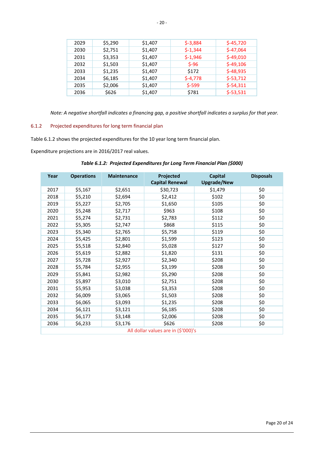| 2029 | \$5,290 | \$1,407 | $$-3,884$ | $$-45,720$ |
|------|---------|---------|-----------|------------|
| 2030 | \$2,751 | \$1,407 | $$-1,344$ | $$-47,064$ |
| 2031 | \$3,353 | \$1,407 | $$-1,946$ | $$-49,010$ |
| 2032 | \$1,503 | \$1,407 | $S-96$    | $$-49,106$ |
| 2033 | \$1,235 | \$1,407 | \$172     | $$-48,935$ |
| 2034 | \$6,185 | \$1,407 | $$-4,778$ | $$-53,712$ |
| 2035 | \$2,006 | \$1,407 | $$-599$   | $$-54,311$ |
| 2036 | \$626   | \$1,407 | \$781     | $$-53,531$ |

*Note: A negative shortfall indicates a financing gap, a positive shortfall indicates a surplus for that year.* 

## 6.1.2 Projected expenditures for long term financial plan

Table 6.1.2 shows the projected expenditures for the 10 year long term financial plan.

Expenditure projections are in 2016/2017 real values.

## *Table 6.1.2: Projected Expenditures for Long Term Financial Plan (\$000)*

| Year                                | <b>Operations</b> | <b>Maintenance</b> | Projected<br><b>Capital Renewal</b> | <b>Capital</b><br><b>Upgrade/New</b> | <b>Disposals</b> |
|-------------------------------------|-------------------|--------------------|-------------------------------------|--------------------------------------|------------------|
| 2017                                | \$5,167           | \$2,651            | \$30,723                            | \$1,479                              | \$0              |
| 2018                                | \$5,210           | \$2,694            | \$2,412                             | \$102                                | \$0              |
| 2019                                | \$5,227           | \$2,705            | \$1,650                             | \$105                                | \$0              |
| 2020                                | \$5,248           | \$2,717            | \$963                               | \$108                                | \$0              |
| 2021                                | \$5,274           | \$2,731            | \$2,783                             | \$112                                | \$0              |
| 2022                                | \$5,305           | \$2,747            | \$868                               | \$115                                | \$0              |
| 2023                                | \$5,340           | \$2,765            | \$5,758                             | \$119                                | \$0              |
| 2024                                | \$5,425           | \$2,801            | \$1,599                             | \$123                                | \$0              |
| 2025                                | \$5,518           | \$2,840            | \$5,028                             | \$127                                | \$0              |
| 2026                                | \$5,619           | \$2,882            | \$1,820                             | \$131                                | \$0              |
| 2027                                | \$5,728           | \$2,927            | \$2,340                             | \$208                                | \$0              |
| 2028                                | \$5,784           | \$2,955            | \$3,199                             | \$208                                | \$0              |
| 2029                                | \$5,841           | \$2,982            | \$5,290                             | \$208                                | \$0              |
| 2030                                | \$5,897           | \$3,010            | \$2,751                             | \$208                                | \$0              |
| 2031                                | \$5,953           | \$3,038            | \$3,353                             | \$208                                | \$0              |
| 2032                                | \$6,009           | \$3,065            | \$1,503                             | \$208                                | \$0              |
| 2033                                | \$6,065           | \$3,093            | \$1,235                             | \$208                                | \$0              |
| 2034                                | \$6,121           | \$3,121            | \$6,185                             | \$208                                | \$0              |
| 2035                                | \$6,177           | \$3,148            | \$2,006                             | \$208                                | \$0              |
| 2036                                | \$6,233           | \$3,176            | \$626                               | \$208                                | \$0              |
| All dollar values are in (\$'000)'s |                   |                    |                                     |                                      |                  |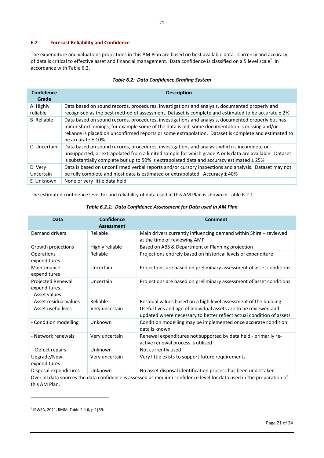## **6.2 Forecast Reliability and Confidence**

The expenditure and valuations projections in this AM Plan are based on best available data. Currency and accuracy of data is critical to effective asset and financial management. Data confidence is classified on a 5 level scale $^9$  in accordance with Table 6.2.

| Confidence<br>Grade  | <b>Description</b>                                                                                                                                                                                                                                                                                                                   |
|----------------------|--------------------------------------------------------------------------------------------------------------------------------------------------------------------------------------------------------------------------------------------------------------------------------------------------------------------------------------|
| A Highly<br>reliable | Data based on sound records, procedures, investigations and analysis, documented properly and<br>recognised as the best method of assessment. Dataset is complete and estimated to be accurate ± 2%                                                                                                                                  |
| <b>B</b> Reliable    | Data based on sound records, procedures, investigations and analysis, documented properly but has<br>minor shortcomings, for example some of the data is old, some documentation is missing and/or<br>reliance is placed on unconfirmed reports or some extrapolation. Dataset is complete and estimated to<br>be accurate $\pm$ 10% |
| C Uncertain          | Data based on sound records, procedures, investigations and analysis which is incomplete or<br>unsupported, or extrapolated from a limited sample for which grade A or B data are available. Dataset<br>is substantially complete but up to 50% is extrapolated data and accuracy estimated $\pm$ 25%                                |
| D Very<br>Uncertain  | Data is based on unconfirmed verbal reports and/or cursory inspections and analysis. Dataset may not<br>be fully complete and most data is estimated or extrapolated. Accuracy ± 40%                                                                                                                                                 |
| E Unknown            | None or very little data held.                                                                                                                                                                                                                                                                                                       |

### *Table 6.2: Data Confidence Grading System*

The estimated confidence level for and reliability of data used in this AM Plan is shown in Table 6.2.1.

| Data                                                 | <b>Confidence</b><br><b>Assessment</b> | <b>Comment</b>                                                                                                                           |
|------------------------------------------------------|----------------------------------------|------------------------------------------------------------------------------------------------------------------------------------------|
| Demand drivers                                       | Reliable                               | Main drivers currently influencing demand within Shire - reviewed<br>at the time of reviewing AMP                                        |
| Growth projections                                   | Highly reliable                        | Based on ABS & Department of Planning projection                                                                                         |
| <b>Operations</b><br>expenditures                    | Reliable                               | Projections entirely based on historical levels of expenditure                                                                           |
| Maintenance<br>expenditures                          | Uncertain                              | Projections are based on preliminary assessment of asset conditions                                                                      |
| Projected Renewal<br>expenditures.<br>- Asset values | Uncertain                              | Projections are based on preliminary assessment of asset conditions                                                                      |
| - Asset residual values                              | Reliable                               | Residual values based on a high level assessment of the building                                                                         |
| - Asset useful lives                                 | Very uncertain                         | Useful lives and age of individual assets are to be reviewed and<br>updated where necessary to better reflect actual condition of assets |
| - Condition modelling                                | Unknown                                | Condition modelling may be implemented once accurate condition<br>data is known                                                          |
| - Network renewals                                   | Very uncertain                         | Renewal expenditures not supported by data held - primarily re-<br>active renewal process is utilised                                    |
| - Defect repairs                                     | Unknown                                | Not currently used                                                                                                                       |
| Upgrade/New<br>expenditures                          | Very uncertain                         | Very little exists to support future requirements                                                                                        |
| Disposal expenditures                                | Unknown                                | No asset disposal identification process has been undertaken                                                                             |

#### *Table 6.2.1: Data Confidence Assessment for Data used in AM Plan*

Over all data sources the data confidence is assessed as medium confidence level for data used in the preparation of this AM Plan.

<sup>9</sup> IPWEA, 2011, IIMM, Table 2.4.6, p 2|59.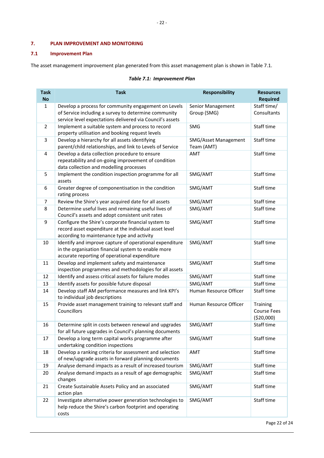## **7. PLAN IMPROVEMENT AND MONITORING**

## **7.1 Improvement Plan**

costs

The asset management improvement plan generated from this asset management plan is shown in Table 7.1.

| <b>Task</b>               | <b>Task</b>                                                                                                  | <b>Responsibility</b>            | <b>Resources</b>               |
|---------------------------|--------------------------------------------------------------------------------------------------------------|----------------------------------|--------------------------------|
| <b>No</b><br>$\mathbf{1}$ |                                                                                                              |                                  | <b>Required</b><br>Staff time/ |
|                           | Develop a process for community engagement on Levels<br>of Service including a survey to determine community | Senior Management<br>Group (SMG) | Consultants                    |
|                           | service level expectations delivered via Council's assets                                                    |                                  |                                |
| $\overline{2}$            | Implement a suitable system and process to record                                                            | SMG                              | Staff time                     |
|                           | property utilisation and booking request levels                                                              |                                  |                                |
| 3                         | Develop a hierarchy for all assets identifying                                                               | SMG/Asset Management             | Staff time                     |
|                           | parent/child relationships, and link to Levels of Service                                                    | Team (AMT)                       |                                |
| $\overline{\mathbf{4}}$   | Develop a data collection procedure to ensure                                                                | <b>AMT</b>                       | Staff time                     |
|                           | repeatability and on-going improvement of condition                                                          |                                  |                                |
|                           | data collection and modelling processes                                                                      |                                  |                                |
| 5                         | Implement the condition inspection programme for all                                                         | SMG/AMT                          | Staff time                     |
|                           | assets                                                                                                       |                                  |                                |
| 6                         | Greater degree of componentisation in the condition                                                          | SMG/AMT                          | Staff time                     |
| 7                         | rating process<br>Review the Shire's year acquired date for all assets                                       | SMG/AMT                          | Staff time                     |
| 8                         | Determine useful lives and remaining useful lives of                                                         | SMG/AMT                          | Staff time                     |
|                           | Council's assets and adopt consistent unit rates                                                             |                                  |                                |
| 9                         | Configure the Shire's corporate financial system to                                                          | SMG/AMT                          | Staff time                     |
|                           | record asset expenditure at the individual asset level                                                       |                                  |                                |
|                           | according to maintenance type and activity                                                                   |                                  |                                |
| 10                        | Identify and improve capture of operational expenditure                                                      | SMG/AMT                          | Staff time                     |
|                           | in the organisation financial system to enable more                                                          |                                  |                                |
|                           | accurate reporting of operational expenditure                                                                |                                  |                                |
| 11                        | Develop and implement safety and maintenance                                                                 | SMG/AMT                          | Staff time                     |
|                           | inspection programmes and methodologies for all assets                                                       |                                  |                                |
| 12                        | Identify and assess critical assets for failure modes                                                        | SMG/AMT                          | Staff time                     |
| 13                        | Identify assets for possible future disposal                                                                 | SMG/AMT                          | Staff time                     |
| 14                        | Develop staff AM performance measures and link KPI's<br>to individual job descriptions                       | Human Resource Officer           | Staff time                     |
| 15                        | Provide asset management training to relevant staff and                                                      | Human Resource Officer           | Training                       |
|                           | Councillors                                                                                                  |                                  | <b>Course Fees</b>             |
|                           |                                                                                                              |                                  | (\$20,000)                     |
| 16                        | Determine split in costs between renewal and upgrades                                                        | SMG/AMT                          | Staff time                     |
| 17                        | for all future upgrades in Council's planning documents<br>Develop a long term capital works programme after | SMG/AMT                          | Staff time                     |
|                           | undertaking condition inspections                                                                            |                                  |                                |
| 18                        | Develop a ranking criteria for assessment and selection                                                      | AMT                              | Staff time                     |
|                           | of new/upgrade assets in forward planning documents                                                          |                                  |                                |
| 19                        | Analyse demand impacts as a result of increased tourism                                                      | SMG/AMT                          | Staff time                     |
| 20                        | Analyse demand impacts as a result of age demographic                                                        | SMG/AMT                          | Staff time                     |
|                           | changes                                                                                                      |                                  |                                |
| 21                        | Create Sustainable Assets Policy and an associated                                                           | SMG/AMT                          | Staff time                     |
|                           | action plan                                                                                                  |                                  |                                |
| 22                        | Investigate alternative power generation technologies to                                                     | SMG/AMT                          | Staff time                     |
|                           | help reduce the Shire's carbon footprint and operating                                                       |                                  |                                |

## *Table 7.1: Improvement Plan*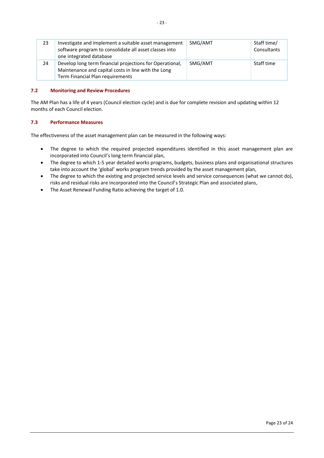| 23 | Investigate and implement a suitable asset management<br>software program to consolidate all asset classes into<br>one integrated database          | SMG/AMT | Staff time/<br>Consultants |
|----|-----------------------------------------------------------------------------------------------------------------------------------------------------|---------|----------------------------|
| 24 | Develop long term financial projections for Operational,<br>Maintenance and capital costs in line with the Long<br>Term Financial Plan requirements | SMG/AMT | Staff time                 |

### **7.2 Monitoring and Review Procedures**

The AM Plan has a life of 4 years (Council election cycle) and is due for complete revision and updating within 12 months of each Council election.

## **7.3 Performance Measures**

The effectiveness of the asset management plan can be measured in the following ways:

- The degree to which the required projected expenditures identified in this asset management plan are incorporated into Council's long term financial plan,
- The degree to which 1-5 year detailed works programs, budgets, business plans and organisational structures take into account the 'global' works program trends provided by the asset management plan,
- The degree to which the existing and projected service levels and service consequences (what we cannot do), risks and residual risks are incorporated into the Council's Strategic Plan and associated plans,
- The Asset Renewal Funding Ratio achieving the target of 1.0.